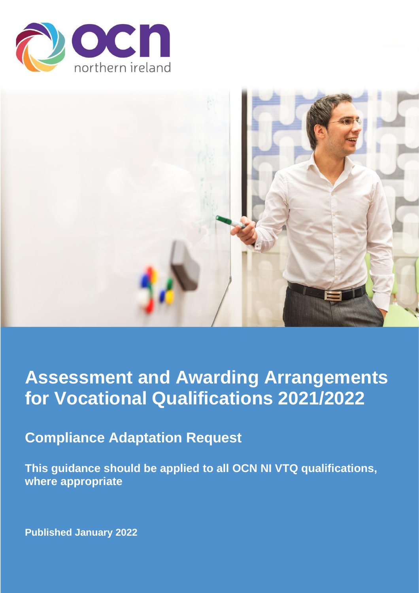



# **Assessment and Awarding Arrangements for Vocational Qualifications 2021/2022**

# **Compliance Adaptation Request**

**This guidance should be applied to all OCN NI VTQ qualifications, where appropriate** 

**Published January 2022**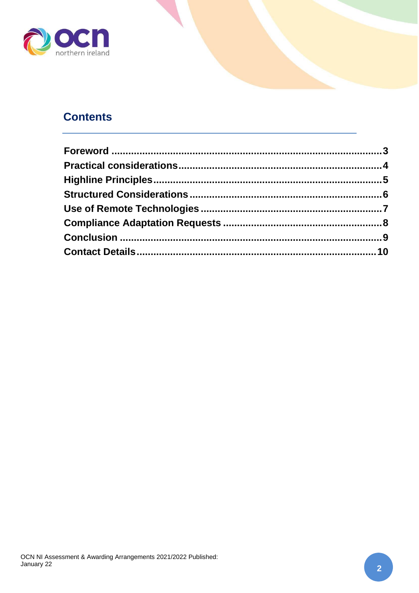

# **Contents**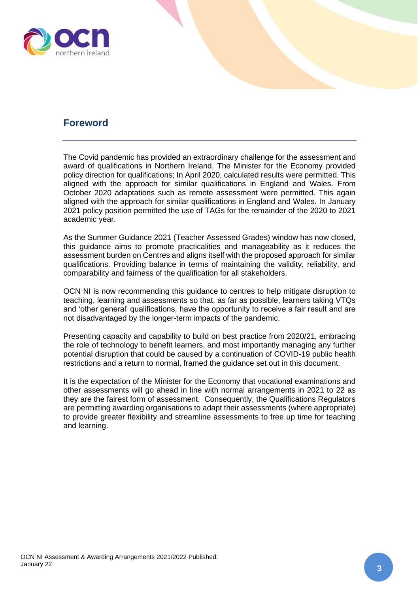

#### <span id="page-2-0"></span>**Foreword**

The Covid pandemic has provided an extraordinary challenge for the assessment and award of qualifications in Northern Ireland. The Minister for the Economy provided policy direction for qualifications; In April 2020, calculated results were permitted. This aligned with the approach for similar qualifications in England and Wales. From October 2020 adaptations such as remote assessment were permitted. This again aligned with the approach for similar qualifications in England and Wales. In January 2021 policy position permitted the use of TAGs for the remainder of the 2020 to 2021 academic year.

As the Summer Guidance 2021 (Teacher Assessed Grades) window has now closed, this guidance aims to promote practicalities and manageability as it reduces the assessment burden on Centres and aligns itself with the proposed approach for similar qualifications. Providing balance in terms of maintaining the validity, reliability, and comparability and fairness of the qualification for all stakeholders.

OCN NI is now recommending this guidance to centres to help mitigate disruption to teaching, learning and assessments so that, as far as possible, learners taking VTQs and 'other general' qualifications, have the opportunity to receive a fair result and are not disadvantaged by the longer-term impacts of the pandemic.

Presenting capacity and capability to build on best practice from 2020/21, embracing the role of technology to benefit learners, and most importantly managing any further potential disruption that could be caused by a continuation of COVID-19 public health restrictions and a return to normal, framed the guidance set out in this document.

It is the expectation of the Minister for the Economy that vocational examinations and other assessments will go ahead in line with normal arrangements in 2021 to 22 as they are the fairest form of assessment. Consequently, the Qualifications Regulators are permitting awarding organisations to adapt their assessments (where appropriate) to provide greater flexibility and streamline assessments to free up time for teaching and learning.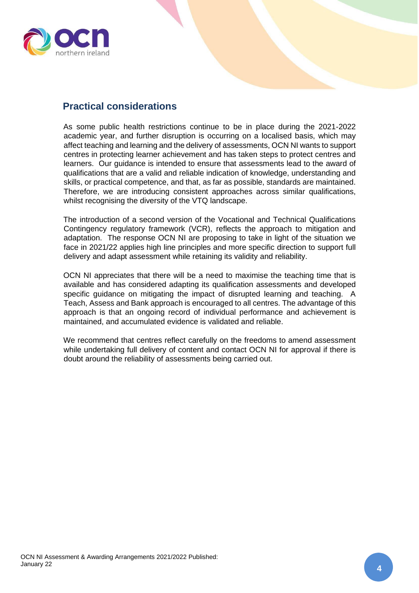

#### <span id="page-3-0"></span>**Practical considerations**

As some public health restrictions continue to be in place during the 2021-2022 academic year, and further disruption is occurring on a localised basis, which may affect teaching and learning and the delivery of assessments, OCN NI wants to support centres in protecting learner achievement and has taken steps to protect centres and learners. Our guidance is intended to ensure that assessments lead to the award of qualifications that are a valid and reliable indication of knowledge, understanding and skills, or practical competence, and that, as far as possible, standards are maintained. Therefore, we are introducing consistent approaches across similar qualifications, whilst recognising the diversity of the VTQ landscape.

The introduction of a second version of the Vocational and Technical Qualifications Contingency regulatory framework (VCR), reflects the approach to mitigation and adaptation. The response OCN NI are proposing to take in light of the situation we face in 2021/22 applies high line principles and more specific direction to support full delivery and adapt assessment while retaining its validity and reliability.

OCN NI appreciates that there will be a need to maximise the teaching time that is available and has considered adapting its qualification assessments and developed specific guidance on mitigating the impact of disrupted learning and teaching. A Teach, Assess and Bank approach is encouraged to all centres. The advantage of this approach is that an ongoing record of individual performance and achievement is maintained, and accumulated evidence is validated and reliable.

We recommend that centres reflect carefully on the freedoms to amend assessment while undertaking full delivery of content and contact OCN NI for approval if there is doubt around the reliability of assessments being carried out.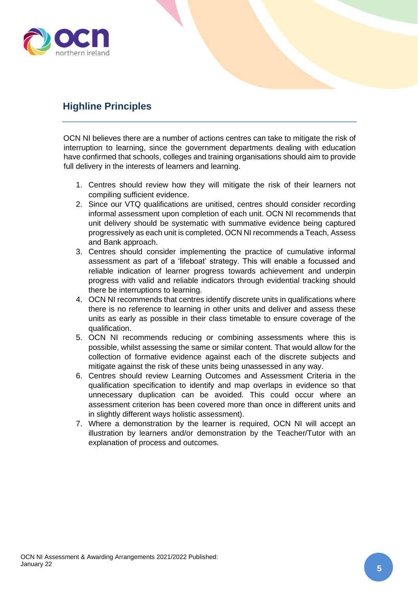

### <span id="page-4-0"></span>**Highline Principles**

OCN NI believes there are a number of actions centres can take to mitigate the risk of interruption to learning, since the government departments dealing with education have confirmed that schools, colleges and training organisations should aim to provide full delivery in the interests of learners and learning.

- 1. Centres should review how they will mitigate the risk of their learners not compiling sufficient evidence.
- 2. Since our VTQ qualifications are unitised, centres should consider recording informal assessment upon completion of each unit. OCN NI recommends that unit delivery should be systematic with summative evidence being captured progressively as each unit is completed. OCN NI recommends a Teach, Assess and Bank approach.
- 3. Centres should consider implementing the practice of cumulative informal assessment as part of a 'lifeboat' strategy. This will enable a focussed and reliable indication of learner progress towards achievement and underpin progress with valid and reliable indicators through evidential tracking should there be interruptions to learning.
- 4. OCN NI recommends that centres identify discrete units in qualifications where there is no reference to learning in other units and deliver and assess these units as early as possible in their class timetable to ensure coverage of the qualification.
- 5. OCN NI recommends reducing or combining assessments where this is possible, whilst assessing the same or similar content. That would allow for the collection of formative evidence against each of the discrete subjects and mitigate against the risk of these units being unassessed in any way.
- 6. Centres should review Learning Outcomes and Assessment Criteria in the qualification specification to identify and map overlaps in evidence so that unnecessary duplication can be avoided. This could occur where an assessment criterion has been covered more than once in different units and in slightly different ways holistic assessment).
- 7. Where a demonstration by the learner is required, OCN NI will accept an illustration by learners and/or demonstration by the Teacher/Tutor with an explanation of process and outcomes.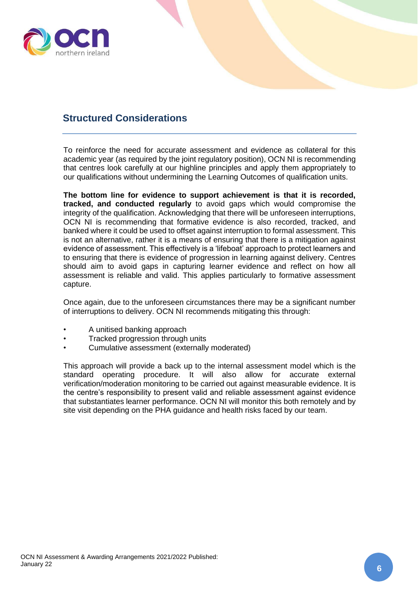

#### <span id="page-5-0"></span>**Structured Considerations**

To reinforce the need for accurate assessment and evidence as collateral for this academic year (as required by the joint regulatory position), OCN NI is recommending that centres look carefully at our highline principles and apply them appropriately to our qualifications without undermining the Learning Outcomes of qualification units.

**The bottom line for evidence to support achievement is that it is recorded, tracked, and conducted regularly** to avoid gaps which would compromise the integrity of the qualification. Acknowledging that there will be unforeseen interruptions, OCN NI is recommending that formative evidence is also recorded, tracked, and banked where it could be used to offset against interruption to formal assessment. This is not an alternative, rather it is a means of ensuring that there is a mitigation against evidence of assessment. This effectively is a 'lifeboat' approach to protect learners and to ensuring that there is evidence of progression in learning against delivery. Centres should aim to avoid gaps in capturing learner evidence and reflect on how all assessment is reliable and valid. This applies particularly to formative assessment capture.

Once again, due to the unforeseen circumstances there may be a significant number of interruptions to delivery. OCN NI recommends mitigating this through:

- A unitised banking approach
- Tracked progression through units
- Cumulative assessment (externally moderated)

This approach will provide a back up to the internal assessment model which is the standard operating procedure. It will also allow for accurate external verification/moderation monitoring to be carried out against measurable evidence. It is the centre's responsibility to present valid and reliable assessment against evidence that substantiates learner performance. OCN NI will monitor this both remotely and by site visit depending on the PHA guidance and health risks faced by our team.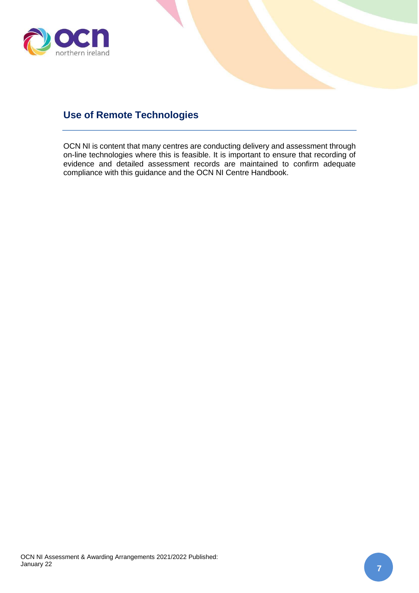

## <span id="page-6-0"></span>**Use of Remote Technologies**

OCN NI is content that many centres are conducting delivery and assessment through on-line technologies where this is feasible. It is important to ensure that recording of evidence and detailed assessment records are maintained to confirm adequate compliance with this guidance and the OCN NI Centre Handbook.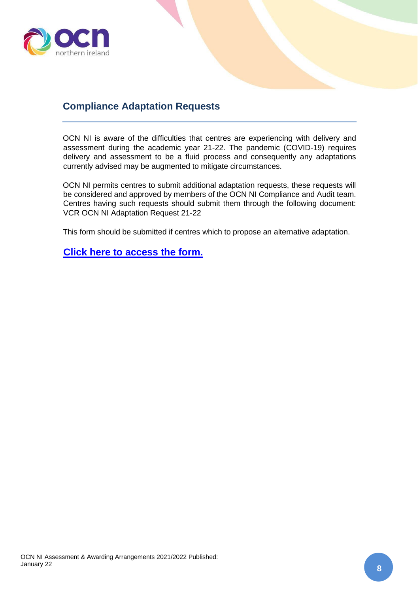

#### <span id="page-7-0"></span>**Compliance Adaptation Requests**

OCN NI is aware of the difficulties that centres are experiencing with delivery and assessment during the academic year 21-22. The pandemic (COVID-19) requires delivery and assessment to be a fluid process and consequently any adaptations currently advised may be augmented to mitigate circumstances.

OCN NI permits centres to submit additional adaptation requests, these requests will be considered and approved by members of the OCN NI Compliance and Audit team. Centres having such requests should submit them through the following document: VCR OCN NI Adaptation Request 21-22

This form should be submitted if centres which to propose an alternative adaptation.

**[Click here to access the form.](https://www.ocnni.org.uk/media/1595/ocn-ni-vcr-adaptation-request-21-22.docx)**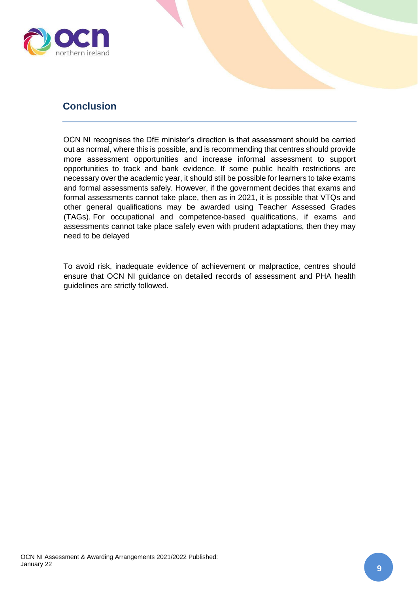

#### <span id="page-8-0"></span>**Conclusion**

OCN NI recognises the DfE minister's direction is that assessment should be carried out as normal, where this is possible, and is recommending that centres should provide more assessment opportunities and increase informal assessment to support opportunities to track and bank evidence. If some public health restrictions are necessary over the academic year, it should still be possible for learners to take exams and formal assessments safely. However, if the government decides that exams and formal assessments cannot take place, then as in 2021, it is possible that VTQs and other general qualifications may be awarded using Teacher Assessed Grades (TAGs). For occupational and competence-based qualifications, if exams and assessments cannot take place safely even with prudent adaptations, then they may need to be delayed

To avoid risk, inadequate evidence of achievement or malpractice, centres should ensure that OCN NI guidance on detailed records of assessment and PHA health guidelines are strictly followed.